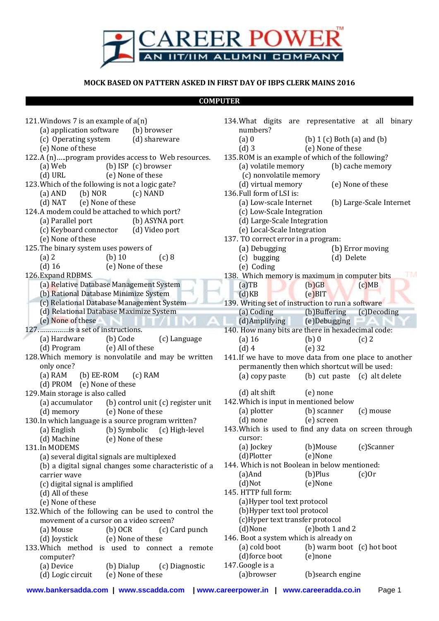

## **MOCK BASED ON PATTERN ASKED IN FIRST DAY OF IBPS CLERK MAINS 2016**

## **COMPUTER**

| 121. Windows 7 is an example of $a(n)$                                               | 134. What digits are representative at all binary                                  |
|--------------------------------------------------------------------------------------|------------------------------------------------------------------------------------|
| (a) application software<br>(b) browser                                              | numbers?                                                                           |
| (c) Operating system<br>(d) shareware                                                | $(a)$ 0<br>(b) $1(c)$ Both $(a)$ and $(b)$                                         |
| (e) None of these                                                                    | (e) None of these<br>$(d)$ 3                                                       |
| 122.A (n)program provides access to Web resources.                                   | 135. ROM is an example of which of the following?                                  |
| (b) ISP (c) browser<br>(a) Web                                                       | (a) volatile memory<br>(b) cache memory                                            |
| $(d)$ URL<br>(e) None of these                                                       | (c) nonvolatile memory                                                             |
| 123. Which of the following is not a logic gate?                                     | (d) virtual memory<br>(e) None of these                                            |
| $(b)$ NOR<br>$(a)$ AND<br>(c) NAND                                                   | 136. Full form of LSI is:                                                          |
| (e) None of these<br>$(d)$ NAT                                                       | (a) Low-scale Internet<br>(b) Large-Scale Internet                                 |
| 124.A modem could be attached to which port?                                         | (c) Low-Scale Integration                                                          |
| (a) Parallel port<br>(b) ASYNA port                                                  | (d) Large-Scale Integration                                                        |
| (c) Keyboard connector<br>(d) Video port                                             | (e) Local-Scale Integration                                                        |
| (e) None of these                                                                    | 137. TO correct error in a program:                                                |
| 125. The binary system uses powers of                                                | (a) Debugging<br>(b) Error moving                                                  |
| $(b)$ 10<br>$(a)$ 2<br>(c) 8                                                         | (c) bugging<br>(d) Delete                                                          |
| $(d)$ 16<br>(e) None of these                                                        | (e) Coding                                                                         |
| 126. Expand RDBMS.                                                                   | 138. Which memory is maximum in computer bits                                      |
| (a) Relative Database Management System                                              | $(a)$ TB<br>$(b)$ $GB$<br>(c)MB                                                    |
| (b) Rational Database Minimize System                                                | $(e)$ BIT<br>(d)KB                                                                 |
| (c) Relational Database Management System                                            | 139. Writing set of instruction to run a software                                  |
| (d) Relational Database Maximize System<br>(e) None of these                         | (b)Buffering<br>(a) Coding<br>(c)Decoding                                          |
| 127.     is a set of instructions.                                                   | (d)Amplifying<br>(e)Debugging<br>140. How many bits are there in hexadecimal code: |
| (a) Hardware<br>(b) Code<br>(c) Language                                             | $(a)$ 16<br>$(b)$ 0<br>$(c)$ 2                                                     |
| (e) All of these<br>(d) Program                                                      | $(d)$ 4<br>$(e)$ 32                                                                |
| 128. Which memory is nonvolatile and may be written                                  | 141. If we have to move data from one place to another                             |
| only once?                                                                           | permanently then which shortcut will be used:                                      |
| $(b) EE-ROM$<br>$(a)$ RAM<br>$(c)$ RAM                                               | (b) cut paste (c) alt delete<br>(a) copy paste                                     |
| (d) PROM (e) None of these                                                           |                                                                                    |
| 129. Main storage is also called                                                     | $(d)$ alt shift<br>(e) none                                                        |
|                                                                                      |                                                                                    |
|                                                                                      | 142. Which is input in mentioned below                                             |
| (a) accumulator<br>(b) control unit (c) register unit<br>(e) None of these           | (a) plotter<br>(b) scanner<br>(c) mouse                                            |
| (d) memory<br>130. In which language is a source program written?                    | (e) screen<br>$(d)$ none                                                           |
| (b) Symbolic<br>(c) High-level<br>(a) English                                        | 143. Which is used to find any data on screen through                              |
| (d) Machine<br>(e) None of these                                                     | cursor:                                                                            |
| 131.In MODEMS                                                                        | (a) Jockey<br>(b)Mouse<br>(c)Scanner                                               |
| (a) several digital signals are multiplexed                                          | (d)Plotter<br>(e)None                                                              |
| (b) a digital signal changes some characteristic of a                                | 144. Which is not Boolean in below mentioned:                                      |
| carrier wave                                                                         | (b)Plus<br>$(c)$ Or<br>$(a)$ And                                                   |
| (c) digital signal is amplified                                                      | (d)Not<br>(e)None                                                                  |
| (d) All of these                                                                     | 145. HTTP full form:                                                               |
| (e) None of these                                                                    | (a) Hyper tool text protocol                                                       |
| 132. Which of the following can be used to control the                               | (b) Hyper text tool protocol                                                       |
| movement of a cursor on a video screen?                                              | (c)Hyper text transfer protocol                                                    |
| (a) Mouse<br>$(b)$ OCR<br>(c) Card punch                                             | (d)None<br>(e) both 1 and 2                                                        |
| (e) None of these<br>(d) Joystick                                                    | 146. Boot a system which is already on                                             |
| 133. Which method is used to connect a remote                                        | (a) cold boot<br>(b) warm boot (c) hot boot                                        |
| computer?                                                                            | (d)force boot<br>(e)none                                                           |
| (a) Device<br>(c) Diagnostic<br>(b) Dialup<br>(d) Logic circuit<br>(e) None of these | 147. Google is a<br>(a)browser<br>(b) search engine                                |